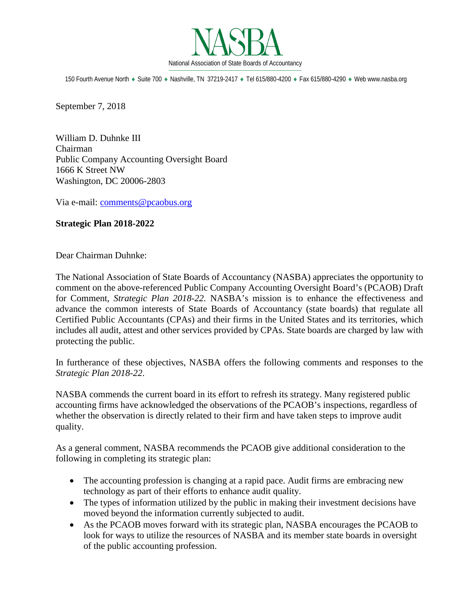

150 Fourth Avenue North ♦ Suite 700 ♦ Nashville, TN 37219-2417 ♦ Tel 615/880-4200 ♦ Fax 615/880-4290 ♦ Web www.nasba.org

September 7, 2018

William D. Duhnke III Chairman Public Company Accounting Oversight Board 1666 K Street NW Washington, DC 20006-2803

Via e-mail: [comments@pcaobus.org](mailto:comments@pcaobus.org)

### **Strategic Plan 2018-2022**

Dear Chairman Duhnke:

The National Association of State Boards of Accountancy (NASBA) appreciates the opportunity to comment on the above-referenced Public Company Accounting Oversight Board's (PCAOB) Draft for Comment, *Strategic Plan 2018-22.* NASBA's mission is to enhance the effectiveness and advance the common interests of State Boards of Accountancy (state boards) that regulate all Certified Public Accountants (CPAs) and their firms in the United States and its territories, which includes all audit, attest and other services provided by CPAs. State boards are charged by law with protecting the public.

In furtherance of these objectives, NASBA offers the following comments and responses to the *Strategic Plan 2018-22*.

NASBA commends the current board in its effort to refresh its strategy. Many registered public accounting firms have acknowledged the observations of the PCAOB's inspections, regardless of whether the observation is directly related to their firm and have taken steps to improve audit quality.

As a general comment, NASBA recommends the PCAOB give additional consideration to the following in completing its strategic plan:

- The accounting profession is changing at a rapid pace. Audit firms are embracing new technology as part of their efforts to enhance audit quality.
- The types of information utilized by the public in making their investment decisions have moved beyond the information currently subjected to audit.
- As the PCAOB moves forward with its strategic plan, NASBA encourages the PCAOB to look for ways to utilize the resources of NASBA and its member state boards in oversight of the public accounting profession.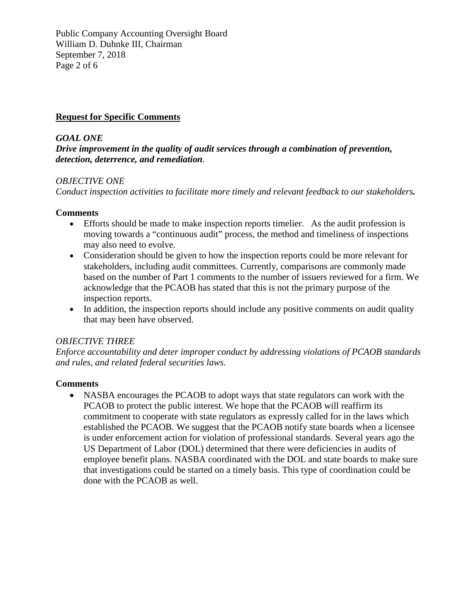Public Company Accounting Oversight Board William D. Duhnke III, Chairman September 7, 2018 Page 2 of 6

### **Request for Specific Comments**

### *GOAL ONE*

### *Drive improvement in the quality of audit services through a combination of prevention, detection, deterrence, and remediation.*

### *OBJECTIVE ONE*

*Conduct inspection activities to facilitate more timely and relevant feedback to our stakeholders.*

### **Comments**

- Efforts should be made to make inspection reports timelier. As the audit profession is moving towards a "continuous audit" process, the method and timeliness of inspections may also need to evolve.
- Consideration should be given to how the inspection reports could be more relevant for stakeholders, including audit committees. Currently, comparisons are commonly made based on the number of Part 1 comments to the number of issuers reviewed for a firm. We acknowledge that the PCAOB has stated that this is not the primary purpose of the inspection reports.
- In addition, the inspection reports should include any positive comments on audit quality that may been have observed.

## *OBJECTIVE THREE*

*Enforce accountability and deter improper conduct by addressing violations of PCAOB standards and rules, and related federal securities laws.*

## **Comments**

• NASBA encourages the PCAOB to adopt ways that state regulators can work with the PCAOB to protect the public interest. We hope that the PCAOB will reaffirm its commitment to cooperate with state regulators as expressly called for in the laws which established the PCAOB. We suggest that the PCAOB notify state boards when a licensee is under enforcement action for violation of professional standards. Several years ago the US Department of Labor (DOL) determined that there were deficiencies in audits of employee benefit plans. NASBA coordinated with the DOL and state boards to make sure that investigations could be started on a timely basis. This type of coordination could be done with the PCAOB as well.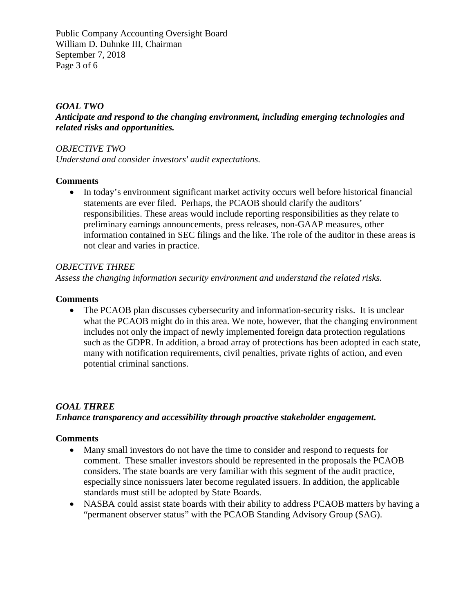Public Company Accounting Oversight Board William D. Duhnke III, Chairman September 7, 2018 Page 3 of 6

## *GOAL TWO*

*Anticipate and respond to the changing environment, including emerging technologies and related risks and opportunities.*

## *OBJECTIVE TWO*

*Understand and consider investors' audit expectations.*

## **Comments**

• In today's environment significant market activity occurs well before historical financial statements are ever filed. Perhaps, the PCAOB should clarify the auditors' responsibilities. These areas would include reporting responsibilities as they relate to preliminary earnings announcements, press releases, non-GAAP measures, other information contained in SEC filings and the like. The role of the auditor in these areas is not clear and varies in practice.

## *OBJECTIVE THREE*

*Assess the changing information security environment and understand the related risks.*

### **Comments**

• The PCAOB plan discusses cybersecurity and information-security risks. It is unclear what the PCAOB might do in this area. We note, however, that the changing environment includes not only the impact of newly implemented foreign data protection regulations such as the GDPR. In addition, a broad array of protections has been adopted in each state, many with notification requirements, civil penalties, private rights of action, and even potential criminal sanctions.

## *GOAL THREE*

## *Enhance transparency and accessibility through proactive stakeholder engagement.*

## **Comments**

- Many small investors do not have the time to consider and respond to requests for comment. These smaller investors should be represented in the proposals the PCAOB considers. The state boards are very familiar with this segment of the audit practice, especially since nonissuers later become regulated issuers. In addition, the applicable standards must still be adopted by State Boards.
- NASBA could assist state boards with their ability to address PCAOB matters by having a "permanent observer status" with the PCAOB Standing Advisory Group (SAG).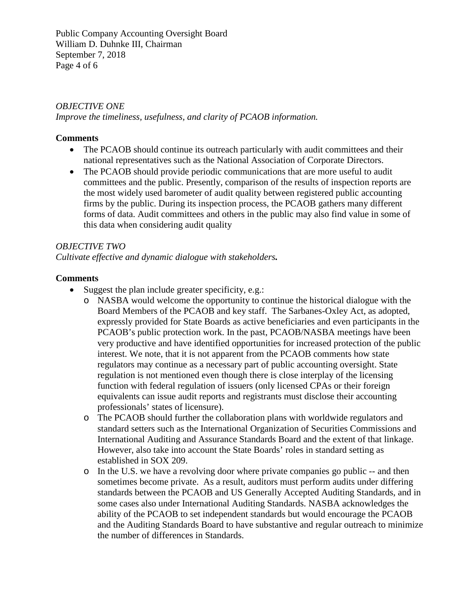Public Company Accounting Oversight Board William D. Duhnke III, Chairman September 7, 2018 Page 4 of 6

### *OBJECTIVE ONE Improve the timeliness, usefulness, and clarity of PCAOB information.*

## **Comments**

- The PCAOB should continue its outreach particularly with audit committees and their national representatives such as the National Association of Corporate Directors.
- The PCAOB should provide periodic communications that are more useful to audit committees and the public. Presently, comparison of the results of inspection reports are the most widely used barometer of audit quality between registered public accounting firms by the public. During its inspection process, the PCAOB gathers many different forms of data. Audit committees and others in the public may also find value in some of this data when considering audit quality

## *OBJECTIVE TWO*

*Cultivate effective and dynamic dialogue with stakeholders.*

## **Comments**

- Suggest the plan include greater specificity, e.g.:
	- o NASBA would welcome the opportunity to continue the historical dialogue with the Board Members of the PCAOB and key staff. The Sarbanes-Oxley Act, as adopted, expressly provided for State Boards as active beneficiaries and even participants in the PCAOB's public protection work. In the past, PCAOB/NASBA meetings have been very productive and have identified opportunities for increased protection of the public interest. We note, that it is not apparent from the PCAOB comments how state regulators may continue as a necessary part of public accounting oversight. State regulation is not mentioned even though there is close interplay of the licensing function with federal regulation of issuers (only licensed CPAs or their foreign equivalents can issue audit reports and registrants must disclose their accounting professionals' states of licensure).
	- o The PCAOB should further the collaboration plans with worldwide regulators and standard setters such as the International Organization of Securities Commissions and International Auditing and Assurance Standards Board and the extent of that linkage. However, also take into account the State Boards' roles in standard setting as established in SOX 209.
	- o In the U.S. we have a revolving door where private companies go public -- and then sometimes become private. As a result, auditors must perform audits under differing standards between the PCAOB and US Generally Accepted Auditing Standards, and in some cases also under International Auditing Standards. NASBA acknowledges the ability of the PCAOB to set independent standards but would encourage the PCAOB and the Auditing Standards Board to have substantive and regular outreach to minimize the number of differences in Standards.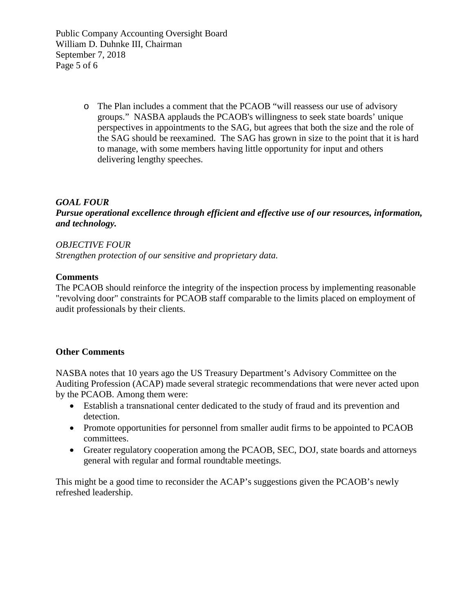Public Company Accounting Oversight Board William D. Duhnke III, Chairman September 7, 2018 Page 5 of 6

> o The Plan includes a comment that the PCAOB "will reassess our use of advisory groups." NASBA applauds the PCAOB's willingness to seek state boards' unique perspectives in appointments to the SAG, but agrees that both the size and the role of the SAG should be reexamined. The SAG has grown in size to the point that it is hard to manage, with some members having little opportunity for input and others delivering lengthy speeches.

### *GOAL FOUR*

### *Pursue operational excellence through efficient and effective use of our resources, information, and technology.*

# *OBJECTIVE FOUR Strengthen protection of our sensitive and proprietary data.*

### **Comments**

The PCAOB should reinforce the integrity of the inspection process by implementing reasonable "revolving door" constraints for PCAOB staff comparable to the limits placed on employment of audit professionals by their clients.

#### **Other Comments**

NASBA notes that 10 years ago the US Treasury Department's Advisory Committee on the Auditing Profession (ACAP) made several strategic recommendations that were never acted upon by the PCAOB. Among them were:

- Establish a transnational center dedicated to the study of fraud and its prevention and detection.
- Promote opportunities for personnel from smaller audit firms to be appointed to PCAOB committees.
- Greater regulatory cooperation among the PCAOB, SEC, DOJ, state boards and attorneys general with regular and formal roundtable meetings.

This might be a good time to reconsider the ACAP's suggestions given the PCAOB's newly refreshed leadership.